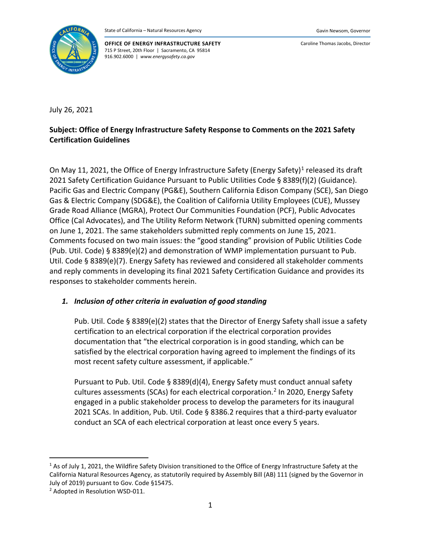

**OFFICE OF ENERGY INFRASTRUCTURE SAFETY** 715 P Street, 20th Floor | Sacramento, CA 95814 916.902.6000 | *www.energysafety.ca.gov*

Caroline Thomas Jacobs, Director

July 26, 2021

## **Subject: Office of Energy Infrastructure Safety Response to Comments on the 2021 Safety Certification Guidelines**

On May [1](#page-0-0)1, 2021, the Office of Energy Infrastructure Safety (Energy Safety)<sup>1</sup> released its draft 2021 Safety Certification Guidance Pursuant to Public Utilities Code § 8389(f)(2) (Guidance). Pacific Gas and Electric Company (PG&E), Southern California Edison Company (SCE), San Diego Gas & Electric Company (SDG&E), the Coalition of California Utility Employees (CUE), Mussey Grade Road Alliance (MGRA), Protect Our Communities Foundation (PCF), Public Advocates Office (Cal Advocates), and The Utility Reform Network (TURN) submitted opening comments on June 1, 2021. The same stakeholders submitted reply comments on June 15, 2021. Comments focused on two main issues: the "good standing" provision of Public Utilities Code (Pub. Util. Code) § 8389(e)(2) and demonstration of WMP implementation pursuant to Pub. Util. Code § 8389(e)(7). Energy Safety has reviewed and considered all stakeholder comments and reply comments in developing its final 2021 Safety Certification Guidance and provides its responses to stakeholder comments herein.

## *1. Inclusion of other criteria in evaluation of good standing*

Pub. Util. Code § 8389(e)(2) states that the Director of Energy Safety shall issue a safety certification to an electrical corporation if the electrical corporation provides documentation that "the electrical corporation is in good standing, which can be satisfied by the electrical corporation having agreed to implement the findings of its most recent safety culture assessment, if applicable."

Pursuant to Pub. Util. Code § 8389(d)(4), Energy Safety must conduct annual safety cultures assessments (SCAs) for each electrical corporation. [2](#page-0-1) In 2020, Energy Safety engaged in a public stakeholder process to develop the parameters for its inaugural 2021 SCAs. In addition, Pub. Util. Code § 8386.2 requires that a third-party evaluator conduct an SCA of each electrical corporation at least once every 5 years.

<span id="page-0-0"></span><sup>&</sup>lt;sup>1</sup> As of July 1, 2021, the Wildfire Safety Division transitioned to the Office of Energy Infrastructure Safety at the California Natural Resources Agency, as statutorily required by Assembly Bill (AB) 111 (signed by the Governor in July of 2019) pursuant to Gov. Code §15475.

<span id="page-0-1"></span><sup>2</sup> Adopted in Resolution WSD-011.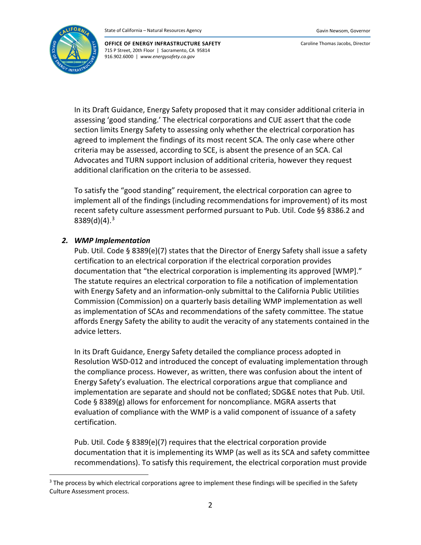

Caroline Thomas Jacobs, Director

In its Draft Guidance, Energy Safety proposed that it may consider additional criteria in assessing 'good standing.' The electrical corporations and CUE assert that the code section limits Energy Safety to assessing only whether the electrical corporation has agreed to implement the findings of its most recent SCA. The only case where other criteria may be assessed, according to SCE, is absent the presence of an SCA. Cal Advocates and TURN support inclusion of additional criteria, however they request additional clarification on the criteria to be assessed.

To satisfy the "good standing" requirement, the electrical corporation can agree to implement all of the findings (including recommendations for improvement) of its most recent safety culture assessment performed pursuant to Pub. Util. Code §§ 8386.2 and 8389(d)(4). [3](#page-1-0)

## *2. WMP Implementation*

Pub. Util. Code § 8389(e)(7) states that the Director of Energy Safety shall issue a safety certification to an electrical corporation if the electrical corporation provides documentation that "the electrical corporation is implementing its approved [WMP]." The statute requires an electrical corporation to file a notification of implementation with Energy Safety and an information-only submittal to the California Public Utilities Commission (Commission) on a quarterly basis detailing WMP implementation as well as implementation of SCAs and recommendations of the safety committee. The statue affords Energy Safety the ability to audit the veracity of any statements contained in the advice letters.

In its Draft Guidance, Energy Safety detailed the compliance process adopted in Resolution WSD-012 and introduced the concept of evaluating implementation through the compliance process. However, as written, there was confusion about the intent of Energy Safety's evaluation. The electrical corporations argue that compliance and implementation are separate and should not be conflated; SDG&E notes that Pub. Util. Code § 8389(g) allows for enforcement for noncompliance. MGRA asserts that evaluation of compliance with the WMP is a valid component of issuance of a safety certification.

Pub. Util. Code § 8389(e)(7) requires that the electrical corporation provide documentation that it is implementing its WMP (as well as its SCA and safety committee recommendations). To satisfy this requirement, the electrical corporation must provide

<span id="page-1-0"></span><sup>&</sup>lt;sup>3</sup> The process by which electrical corporations agree to implement these findings will be specified in the Safety Culture Assessment process.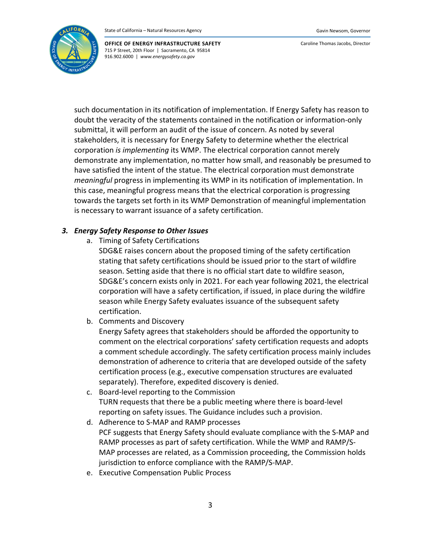

Caroline Thomas Jacobs, Director

such documentation in its notification of implementation. If Energy Safety has reason to doubt the veracity of the statements contained in the notification or information-only submittal, it will perform an audit of the issue of concern. As noted by several stakeholders, it is necessary for Energy Safety to determine whether the electrical corporation *is implementing* its WMP. The electrical corporation cannot merely demonstrate any implementation, no matter how small, and reasonably be presumed to have satisfied the intent of the statue. The electrical corporation must demonstrate *meaningful* progress in implementing its WMP in its notification of implementation. In this case, meaningful progress means that the electrical corporation is progressing towards the targets set forth in its WMP Demonstration of meaningful implementation is necessary to warrant issuance of a safety certification.

## *3. Energy Safety Response to Other Issues*

a. Timing of Safety Certifications

SDG&E raises concern about the proposed timing of the safety certification stating that safety certifications should be issued prior to the start of wildfire season. Setting aside that there is no official start date to wildfire season, SDG&E's concern exists only in 2021. For each year following 2021, the electrical corporation will have a safety certification, if issued, in place during the wildfire season while Energy Safety evaluates issuance of the subsequent safety certification.

b. Comments and Discovery

Energy Safety agrees that stakeholders should be afforded the opportunity to comment on the electrical corporations' safety certification requests and adopts a comment schedule accordingly. The safety certification process mainly includes demonstration of adherence to criteria that are developed outside of the safety certification process (e.g., executive compensation structures are evaluated separately). Therefore, expedited discovery is denied.

- c. Board-level reporting to the Commission TURN requests that there be a public meeting where there is board-level reporting on safety issues. The Guidance includes such a provision.
- d. Adherence to S-MAP and RAMP processes PCF suggests that Energy Safety should evaluate compliance with the S-MAP and RAMP processes as part of safety certification. While the WMP and RAMP/S-MAP processes are related, as a Commission proceeding, the Commission holds jurisdiction to enforce compliance with the RAMP/S-MAP.
- e. Executive Compensation Public Process